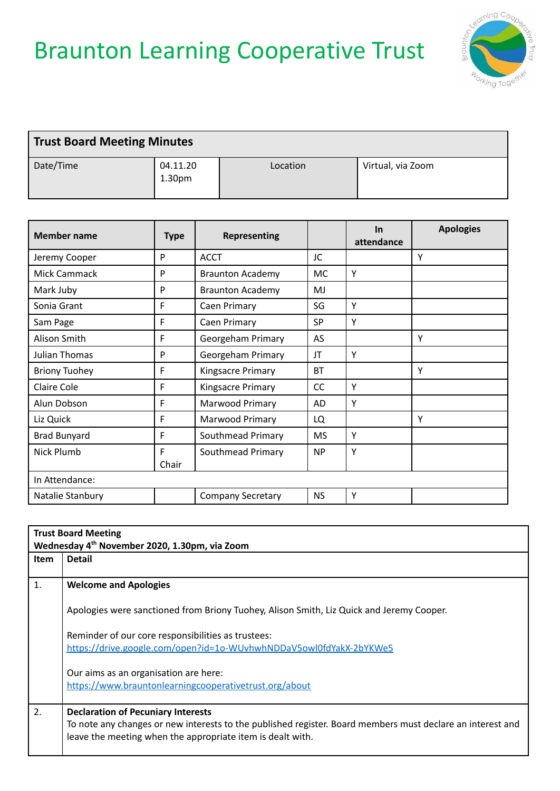## Braunton Learning Cooperative Trust



| <b>Trust Board Meeting Minutes</b> |                                |          |                   |
|------------------------------------|--------------------------------|----------|-------------------|
| Date/Time                          | 04.11.20<br>1.30 <sub>pm</sub> | Location | Virtual, via Zoom |

| <b>Member name</b>   | <b>Type</b> | <b>Representing</b>      |           | $\ln$<br>attendance | <b>Apologies</b> |
|----------------------|-------------|--------------------------|-----------|---------------------|------------------|
| Jeremy Cooper        | P           | <b>ACCT</b>              | JC        |                     | Υ                |
| Mick Cammack         | P           | <b>Braunton Academy</b>  | MC.       | Y                   |                  |
| Mark Juby            | P           | <b>Braunton Academy</b>  | MJ        |                     |                  |
| Sonia Grant          | F           | Caen Primary             | SG        | Y                   |                  |
| Sam Page             | F           | Caen Primary             | <b>SP</b> | Y                   |                  |
| Alison Smith         | F           | Georgeham Primary        | AS        |                     | Υ                |
| Julian Thomas        | P           | Georgeham Primary        | JT        | Y                   |                  |
| <b>Briony Tuohey</b> | F           | Kingsacre Primary        | <b>BT</b> |                     | γ                |
| <b>Claire Cole</b>   | F           | Kingsacre Primary        | CC        | Y                   |                  |
| Alun Dobson          | F           | Marwood Primary          | AD        | Y                   |                  |
| Liz Quick            | F           | <b>Marwood Primary</b>   | LQ        |                     | γ                |
| <b>Brad Bunyard</b>  | F           | Southmead Primary        | <b>MS</b> | Y                   |                  |
| Nick Plumb           | F<br>Chair  | Southmead Primary        | <b>NP</b> | Y                   |                  |
| In Attendance:       |             |                          |           |                     |                  |
| Natalie Stanbury     |             | <b>Company Secretary</b> | <b>NS</b> | Y                   |                  |

|             | <b>Trust Board Meeting</b><br>Wednesday 4 <sup>th</sup> November 2020, 1.30pm, via Zoom                    |  |
|-------------|------------------------------------------------------------------------------------------------------------|--|
| <b>Item</b> | <b>Detail</b>                                                                                              |  |
| 1.          | <b>Welcome and Apologies</b>                                                                               |  |
|             | Apologies were sanctioned from Briony Tuohey, Alison Smith, Liz Quick and Jeremy Cooper.                   |  |
|             | Reminder of our core responsibilities as trustees:                                                         |  |
|             | https://drive.google.com/open?id=1o-WUvhwhNDDaV5owl0fdYakX-2bYKWe5                                         |  |
|             | Our aims as an organisation are here:                                                                      |  |
|             | https://www.brauntonlearningcooperativetrust.org/about                                                     |  |
| 2.          | <b>Declaration of Pecuniary Interests</b>                                                                  |  |
|             | To note any changes or new interests to the published register. Board members must declare an interest and |  |
|             | leave the meeting when the appropriate item is dealt with.                                                 |  |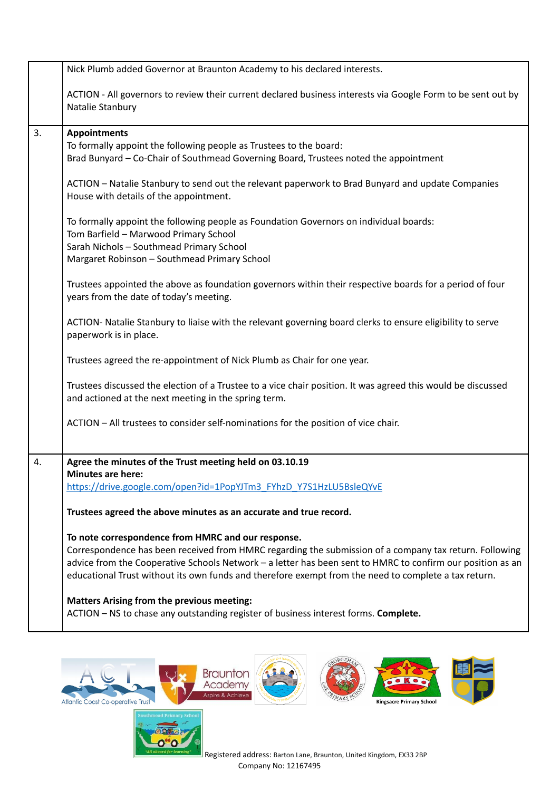|    | Nick Plumb added Governor at Braunton Academy to his declared interests.                                                                                                                                           |
|----|--------------------------------------------------------------------------------------------------------------------------------------------------------------------------------------------------------------------|
|    | ACTION - All governors to review their current declared business interests via Google Form to be sent out by<br>Natalie Stanbury                                                                                   |
| 3. | <b>Appointments</b>                                                                                                                                                                                                |
|    | To formally appoint the following people as Trustees to the board:                                                                                                                                                 |
|    | Brad Bunyard - Co-Chair of Southmead Governing Board, Trustees noted the appointment                                                                                                                               |
|    | ACTION - Natalie Stanbury to send out the relevant paperwork to Brad Bunyard and update Companies<br>House with details of the appointment.                                                                        |
|    | To formally appoint the following people as Foundation Governors on individual boards:                                                                                                                             |
|    | Tom Barfield - Marwood Primary School                                                                                                                                                                              |
|    | Sarah Nichols - Southmead Primary School                                                                                                                                                                           |
|    | Margaret Robinson - Southmead Primary School                                                                                                                                                                       |
|    | Trustees appointed the above as foundation governors within their respective boards for a period of four<br>years from the date of today's meeting.                                                                |
|    | ACTION- Natalie Stanbury to liaise with the relevant governing board clerks to ensure eligibility to serve<br>paperwork is in place.                                                                               |
|    | Trustees agreed the re-appointment of Nick Plumb as Chair for one year.                                                                                                                                            |
|    | Trustees discussed the election of a Trustee to a vice chair position. It was agreed this would be discussed                                                                                                       |
|    | and actioned at the next meeting in the spring term.                                                                                                                                                               |
|    | ACTION - All trustees to consider self-nominations for the position of vice chair.                                                                                                                                 |
| 4. | Agree the minutes of the Trust meeting held on 03.10.19                                                                                                                                                            |
|    | <b>Minutes are here:</b>                                                                                                                                                                                           |
|    | https://drive.google.com/open?id=1PopYJTm3 FYhzD Y7S1HzLU5BsleQYvE                                                                                                                                                 |
|    | Trustees agreed the above minutes as an accurate and true record.                                                                                                                                                  |
|    | To note correspondence from HMRC and our response.                                                                                                                                                                 |
|    | Correspondence has been received from HMRC regarding the submission of a company tax return. Following                                                                                                             |
|    | advice from the Cooperative Schools Network - a letter has been sent to HMRC to confirm our position as an<br>educational Trust without its own funds and therefore exempt from the need to complete a tax return. |
|    | <b>Matters Arising from the previous meeting:</b>                                                                                                                                                                  |
|    | ACTION - NS to chase any outstanding register of business interest forms. Complete.                                                                                                                                |





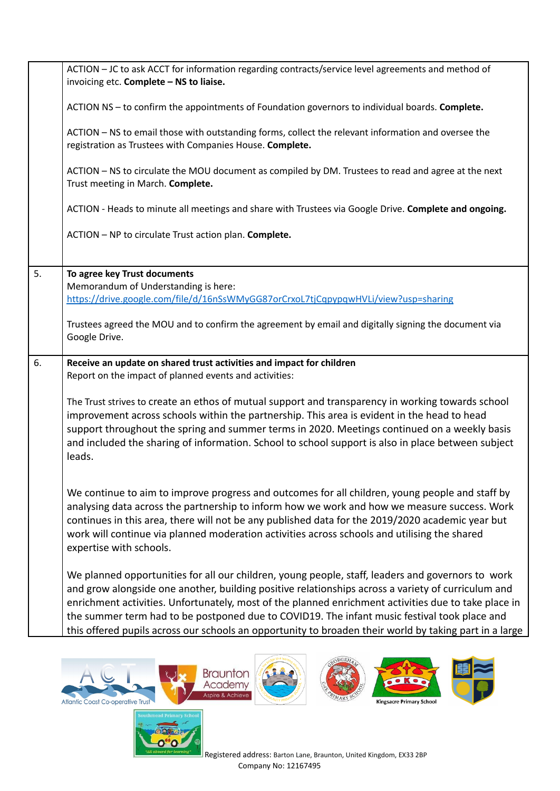|    | ACTION - JC to ask ACCT for information regarding contracts/service level agreements and method of<br>invoicing etc. Complete - NS to liaise.                                                                                                                                                                                                                                                                                                                                                                             |
|----|---------------------------------------------------------------------------------------------------------------------------------------------------------------------------------------------------------------------------------------------------------------------------------------------------------------------------------------------------------------------------------------------------------------------------------------------------------------------------------------------------------------------------|
|    | ACTION NS - to confirm the appointments of Foundation governors to individual boards. Complete.                                                                                                                                                                                                                                                                                                                                                                                                                           |
|    | ACTION - NS to email those with outstanding forms, collect the relevant information and oversee the<br>registration as Trustees with Companies House. Complete.                                                                                                                                                                                                                                                                                                                                                           |
|    | ACTION - NS to circulate the MOU document as compiled by DM. Trustees to read and agree at the next<br>Trust meeting in March. Complete.                                                                                                                                                                                                                                                                                                                                                                                  |
|    | ACTION - Heads to minute all meetings and share with Trustees via Google Drive. Complete and ongoing.                                                                                                                                                                                                                                                                                                                                                                                                                     |
|    | ACTION - NP to circulate Trust action plan. Complete.                                                                                                                                                                                                                                                                                                                                                                                                                                                                     |
| 5. | To agree key Trust documents<br>Memorandum of Understanding is here:                                                                                                                                                                                                                                                                                                                                                                                                                                                      |
|    | https://drive.google.com/file/d/16nSsWMyGG87orCrxoL7tjCqpypqwHVLi/view?usp=sharing                                                                                                                                                                                                                                                                                                                                                                                                                                        |
|    | Trustees agreed the MOU and to confirm the agreement by email and digitally signing the document via<br>Google Drive.                                                                                                                                                                                                                                                                                                                                                                                                     |
| 6. | Receive an update on shared trust activities and impact for children<br>Report on the impact of planned events and activities:                                                                                                                                                                                                                                                                                                                                                                                            |
|    | The Trust strives to create an ethos of mutual support and transparency in working towards school<br>improvement across schools within the partnership. This area is evident in the head to head<br>support throughout the spring and summer terms in 2020. Meetings continued on a weekly basis<br>and included the sharing of information. School to school support is also in place between subject<br>leads.                                                                                                          |
|    | We continue to aim to improve progress and outcomes for all children, young people and staff by<br>analysing data across the partnership to inform how we work and how we measure success. Work<br>continues in this area, there will not be any published data for the 2019/2020 academic year but<br>work will continue via planned moderation activities across schools and utilising the shared<br>expertise with schools.                                                                                            |
|    | We planned opportunities for all our children, young people, staff, leaders and governors to work<br>and grow alongside one another, building positive relationships across a variety of curriculum and<br>enrichment activities. Unfortunately, most of the planned enrichment activities due to take place in<br>the summer term had to be postponed due to COVID19. The infant music festival took place and<br>this offered pupils across our schools an opportunity to broaden their world by taking part in a large |







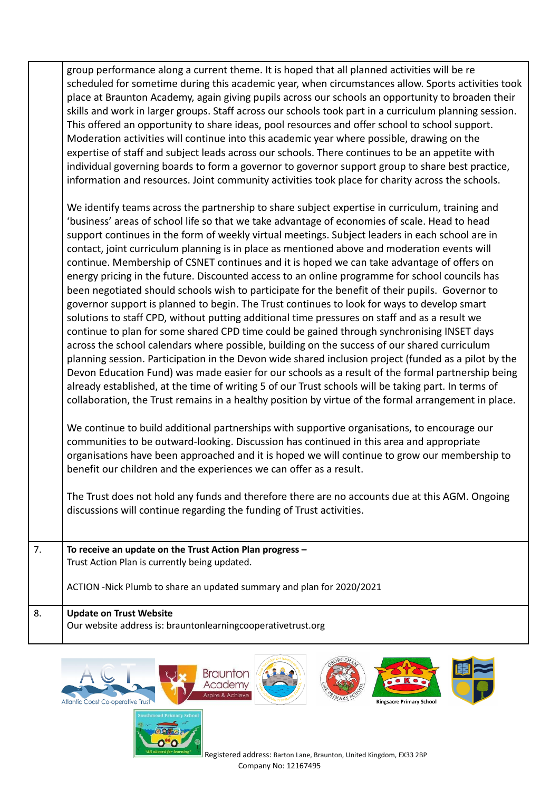group performance along a current theme. It is hoped that all planned activities will be re scheduled for sometime during this academic year, when circumstances allow. Sports activities took place at Braunton Academy, again giving pupils across our schools an opportunity to broaden their skills and work in larger groups. Staff across our schools took part in a curriculum planning session. This offered an opportunity to share ideas, pool resources and offer school to school support. Moderation activities will continue into this academic year where possible, drawing on the expertise of staff and subject leads across our schools. There continues to be an appetite with individual governing boards to form a governor to governor support group to share best practice, information and resources. Joint community activities took place for charity across the schools.

We identify teams across the partnership to share subject expertise in curriculum, training and 'business' areas of school life so that we take advantage of economies of scale. Head to head support continues in the form of weekly virtual meetings. Subject leaders in each school are in contact, joint curriculum planning is in place as mentioned above and moderation events will continue. Membership of CSNET continues and it is hoped we can take advantage of offers on energy pricing in the future. Discounted access to an online programme for school councils has been negotiated should schools wish to participate for the benefit of their pupils. Governor to governor support is planned to begin. The Trust continues to look for ways to develop smart solutions to staff CPD, without putting additional time pressures on staff and as a result we continue to plan for some shared CPD time could be gained through synchronising INSET days across the school calendars where possible, building on the success of our shared curriculum planning session. Participation in the Devon wide shared inclusion project (funded as a pilot by the Devon Education Fund) was made easier for our schools as a result of the formal partnership being already established, at the time of writing 5 of our Trust schools will be taking part. In terms of collaboration, the Trust remains in a healthy position by virtue of the formal arrangement in place.

We continue to build additional partnerships with supportive organisations, to encourage our communities to be outward-looking. Discussion has continued in this area and appropriate organisations have been approached and it is hoped we will continue to grow our membership to benefit our children and the experiences we can offer as a result.

The Trust does not hold any funds and therefore there are no accounts due at this AGM. Ongoing discussions will continue regarding the funding of Trust activities.

| 7. | To receive an update on the Trust Action Plan progress -<br>Trust Action Plan is currently being updated.<br>ACTION -Nick Plumb to share an updated summary and plan for 2020/2021 |
|----|------------------------------------------------------------------------------------------------------------------------------------------------------------------------------------|
| 8. | <b>Update on Trust Website</b><br>Our website address is: brauntonlearningcooperativetrust.org                                                                                     |







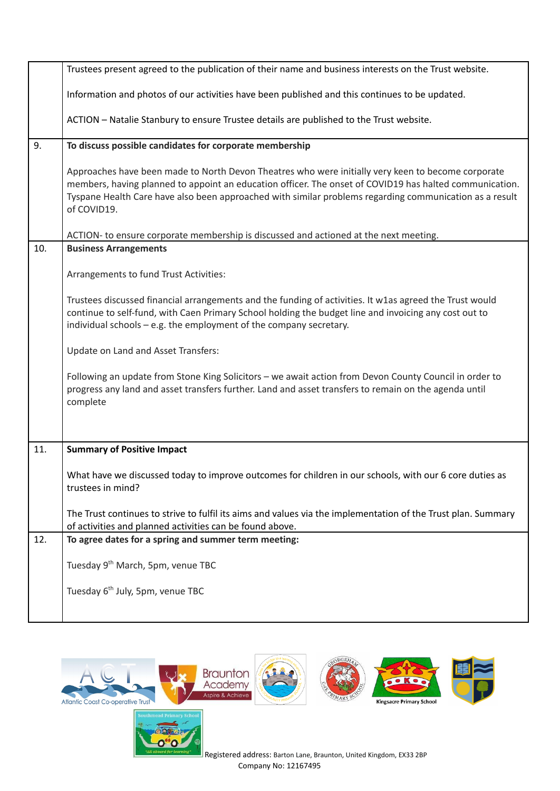|     | Trustees present agreed to the publication of their name and business interests on the Trust website.                                                                                                                                                                                                                                   |
|-----|-----------------------------------------------------------------------------------------------------------------------------------------------------------------------------------------------------------------------------------------------------------------------------------------------------------------------------------------|
|     | Information and photos of our activities have been published and this continues to be updated.                                                                                                                                                                                                                                          |
|     | ACTION - Natalie Stanbury to ensure Trustee details are published to the Trust website.                                                                                                                                                                                                                                                 |
| 9.  | To discuss possible candidates for corporate membership                                                                                                                                                                                                                                                                                 |
|     | Approaches have been made to North Devon Theatres who were initially very keen to become corporate<br>members, having planned to appoint an education officer. The onset of COVID19 has halted communication.<br>Tyspane Health Care have also been approached with similar problems regarding communication as a result<br>of COVID19. |
|     | ACTION- to ensure corporate membership is discussed and actioned at the next meeting.                                                                                                                                                                                                                                                   |
| 10. | <b>Business Arrangements</b>                                                                                                                                                                                                                                                                                                            |
|     | Arrangements to fund Trust Activities:                                                                                                                                                                                                                                                                                                  |
|     | Trustees discussed financial arrangements and the funding of activities. It w1as agreed the Trust would<br>continue to self-fund, with Caen Primary School holding the budget line and invoicing any cost out to<br>individual schools - e.g. the employment of the company secretary.                                                  |
|     | Update on Land and Asset Transfers:                                                                                                                                                                                                                                                                                                     |
|     | Following an update from Stone King Solicitors - we await action from Devon County Council in order to<br>progress any land and asset transfers further. Land and asset transfers to remain on the agenda until<br>complete                                                                                                             |
| 11. |                                                                                                                                                                                                                                                                                                                                         |
|     | <b>Summary of Positive Impact</b>                                                                                                                                                                                                                                                                                                       |
|     | What have we discussed today to improve outcomes for children in our schools, with our 6 core duties as<br>trustees in mind?                                                                                                                                                                                                            |
|     | The Trust continues to strive to fulfil its aims and values via the implementation of the Trust plan. Summary<br>of activities and planned activities can be found above.                                                                                                                                                               |
| 12. | To agree dates for a spring and summer term meeting:                                                                                                                                                                                                                                                                                    |
|     | Tuesday 9 <sup>th</sup> March, 5pm, venue TBC                                                                                                                                                                                                                                                                                           |
|     | Tuesday 6 <sup>th</sup> July, 5pm, venue TBC                                                                                                                                                                                                                                                                                            |
|     |                                                                                                                                                                                                                                                                                                                                         |